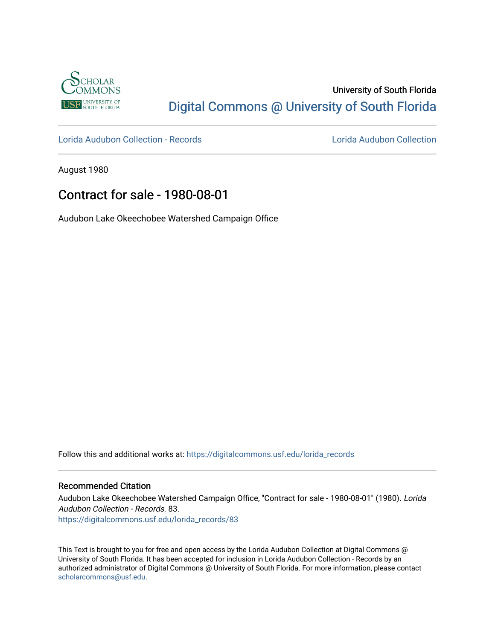

## University of South Florida [Digital Commons @ University of South Florida](https://digitalcommons.usf.edu/)

[Lorida Audubon Collection - Records](https://digitalcommons.usf.edu/lorida_records) [Lorida Audubon Collection](https://digitalcommons.usf.edu/lorida) 

August 1980

## Contract for sale - 1980-08-01

Audubon Lake Okeechobee Watershed Campaign Office

Follow this and additional works at: [https://digitalcommons.usf.edu/lorida\\_records](https://digitalcommons.usf.edu/lorida_records?utm_source=digitalcommons.usf.edu%2Florida_records%2F83&utm_medium=PDF&utm_campaign=PDFCoverPages)

## Recommended Citation

Audubon Lake Okeechobee Watershed Campaign Office, "Contract for sale - 1980-08-01" (1980). Lorida Audubon Collection - Records. 83. [https://digitalcommons.usf.edu/lorida\\_records/83](https://digitalcommons.usf.edu/lorida_records/83?utm_source=digitalcommons.usf.edu%2Florida_records%2F83&utm_medium=PDF&utm_campaign=PDFCoverPages) 

This Text is brought to you for free and open access by the Lorida Audubon Collection at Digital Commons @ University of South Florida. It has been accepted for inclusion in Lorida Audubon Collection - Records by an authorized administrator of Digital Commons @ University of South Florida. For more information, please contact [scholarcommons@usf.edu.](mailto:scholarcommons@usf.edu)